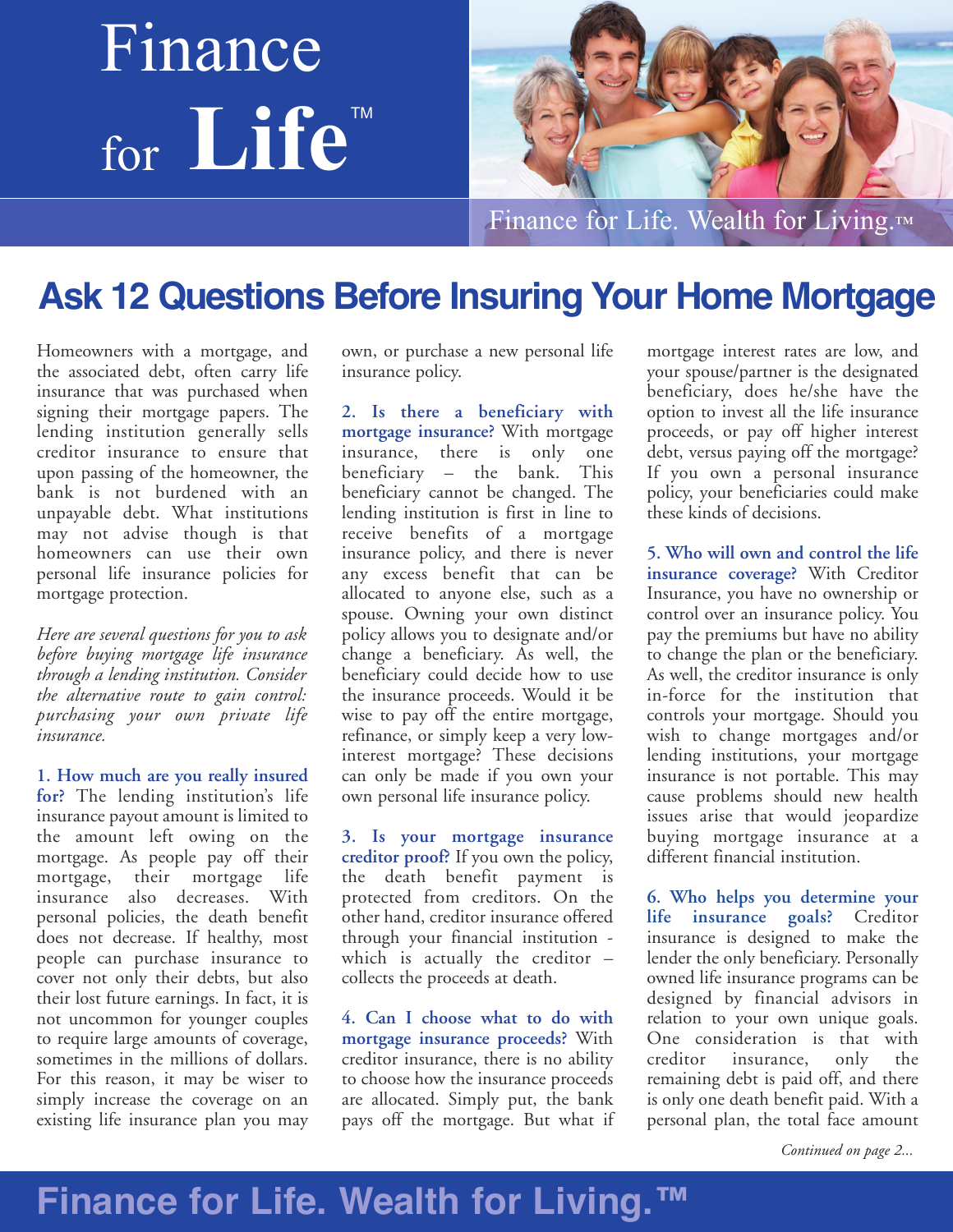# Finance for **Life** TM



Finance for Life. Wealth for Living.™

### **Ask 12 Questions Before Insuring Your Home Mortgage**

Homeowners with a mortgage, and the associated debt, often carry life insurance that was purchased when signing their mortgage papers. The lending institution generally sells creditor insurance to ensure that upon passing of the homeowner, the bank is not burdened with an unpayable debt. What institutions may not advise though is that homeowners can use their own personal life insurance policies for mortgage protection.

*Here are several questions for you to ask before buying mortgage life insurance through a lending institution. Consider the alternative route to gain control: purchasing your own private life insurance.*

**1. How much are you really insured for?** The lending institution's life insurance payout amount is limited to the amount left owing on the mortgage. As people pay off their mortgage, their mortgage life insurance also decreases. With personal policies, the death benefit does not decrease. If healthy, most people can purchase insurance to cover not only their debts, but also their lost future earnings. In fact, it is not uncommon for younger couples to require large amounts of coverage, sometimes in the millions of dollars. For this reason, it may be wiser to simply increase the coverage on an existing life insurance plan you may

own, or purchase a new personal life insurance policy.

**2. Is there a beneficiary with mortgage insurance?** With mortgage insurance, there is only one beneficiary – the bank. This beneficiary cannot be changed. The lending institution is first in line to receive benefits of a mortgage insurance policy, and there is never any excess benefit that can be allocated to anyone else, such as a spouse. Owning your own distinct policy allows you to designate and/or change a beneficiary. As well, the beneficiary could decide how to use the insurance proceeds. Would it be wise to pay off the entire mortgage, refinance, or simply keep a very lowinterest mortgage? These decisions can only be made if you own your own personal life insurance policy.

**3. Is your mortgage insurance creditor proof?** If you own the policy, the death benefit payment is protected from creditors. On the other hand, creditor insurance offered through your financial institution which is actually the creditor – collects the proceeds at death.

**4. Can I choose what to do with mortgage insurance proceeds?** With creditor insurance, there is no ability to choose how the insurance proceeds are allocated. Simply put, the bank pays off the mortgage. But what if

mortgage interest rates are low, and your spouse/partner is the designated beneficiary, does he/she have the option to invest all the life insurance proceeds, or pay off higher interest debt, versus paying off the mortgage? If you own a personal insurance policy, your beneficiaries could make these kinds of decisions.

**5. Who will own and control the life insurance coverage?** With Creditor Insurance, you have no ownership or control over an insurance policy. You pay the premiums but have no ability to change the plan or the beneficiary. As well, the creditor insurance is only in-force for the institution that controls your mortgage. Should you wish to change mortgages and/or lending institutions, your mortgage insurance is not portable. This may cause problems should new health issues arise that would jeopardize buying mortgage insurance at a different financial institution.

**6. Who helps you determine your life insurance goals?** Creditor insurance is designed to make the lender the only beneficiary. Personally owned life insurance programs can be designed by financial advisors in relation to your own unique goals. One consideration is that with creditor insurance, only the remaining debt is paid off, and there is only one death benefit paid. With a personal plan, the total face amount

*Continued on page 2...*

### **Finance for Life. Wealth for Living.™**